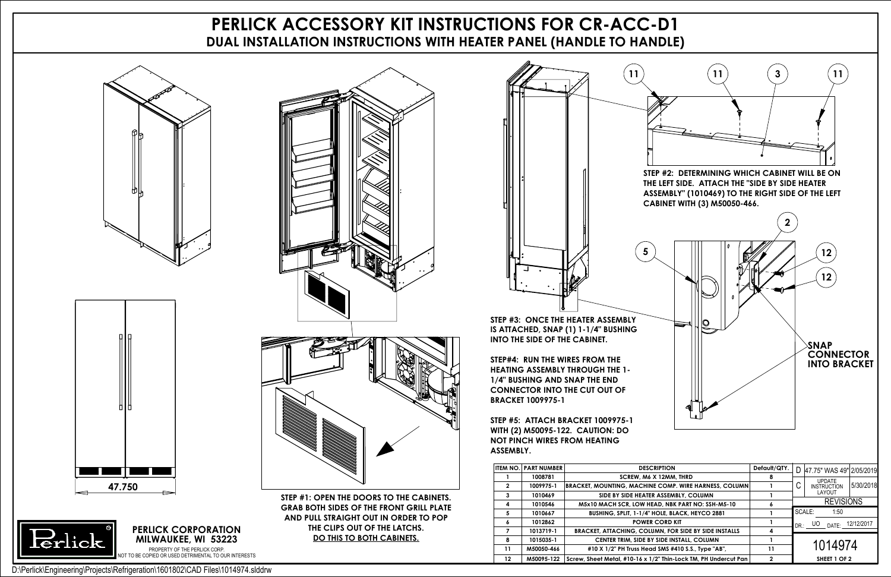## **PERLICK ACCESSORY KIT INSTRUCTIONS FOR CR-ACC-D1 DUAL INSTALLATION INSTRUCTIONS WITH HEATER PANEL (HANDLE TO HANDLE)**







**STEP #1: OPEN THE DOORS TO THE CABINETS. GRAB BOTH SIDES OF THE FRONT GRILL PLATE AND PULL STRAIGHT OUT IN ORDER TO POP THE CLIPS OUT OF THE LATCHS. DO THIS TO BOTH CABINETS.**

**STEP #3: ONCE THE HEATER ASSEMBLY IS ATTACHED, SNAP (1) 1-1/4" BUSHING INTO THE SIDE OF THE CABINET.**



**STEP#4: RUN THE WIRES FROM THE HEATING ASSEMBLY THROUGH THE 1- 1/4" BUSHING AND SNAP THE END CONNECTOR INTO THE CUT OUT OF BRACKET 1009975-1**

**STEP #5: ATTACH BRACKET 1009975-1 WITH (2) M50095-122. CAUTION: DO NOT PINCH WIRES FROM HEATING ASSEMBLY.**



|             | <b>ITEM NO. PART NUMBER</b> | <b>DESCRIPTION</b>                                              | Default/QTY. |            | D 47.75" WAS 49" 2/05/2019 |            |
|-------------|-----------------------------|-----------------------------------------------------------------|--------------|------------|----------------------------|------------|
|             | 1008781                     | SCREW. M6 X 12MM. THRD                                          |              |            | <b>UPDATE</b>              |            |
| $\mathbf 2$ | 1009975-1                   | BRACKET, MOUNTING, MACHINE COMP. WIRE HARNESS, COLUMN           |              | U          | <b>INSTRUCTION</b>         | 5/30/2018  |
| 3           | 1010469                     | SIDE BY SIDE HEATER ASSEMBLY, COLUMN                            |              |            | LAYOUT                     |            |
| 4           | 1010546                     | M5x10 MACH SCR, LOW HEAD, NBK PART NO: SSH-M5-10                |              |            | <b>REVISIONS</b>           |            |
| 5           | 1010667                     | BUSHING, SPLIT, 1-1/4" HOLE, BLACK, HEYCO 2881                  |              |            | SCALE:<br>1:50             |            |
|             | 1012862                     | <b>POWER CORD KIT</b>                                           |              | $DR \cdot$ | UO<br>DATF                 | 12/12/2017 |
|             | 1013719-1                   | <b>BRACKET, ATTACHING, COLUMN, FOR SIDE BY SIDE INSTALLS</b>    |              |            |                            |            |
| 8           | 1015035-1                   | <b>CENTER TRIM, SIDE BY SIDE INSTALL, COLUMN</b>                |              |            |                            |            |
| 11          | M50050-466                  | #10 X 1/2" PH Truss Head SMS #410 S.S., Type "AB",              | 11           |            | 1014974                    |            |
| 12          | M50095-122                  | Screw, Sheet Metal, #10-16 x 1/2" Thin-Lock TM, PH Undercut Pan | 2            |            | SHEET 1 OF 2               |            |

**PERLICK CORPORATION**



TO BE COPIED OR USED DETRIMENTAL TO OUR INTERESTS D:\Perlick\Engineering\Projects\Refrigeration\1601802\CAD Files\1014974.slddrw